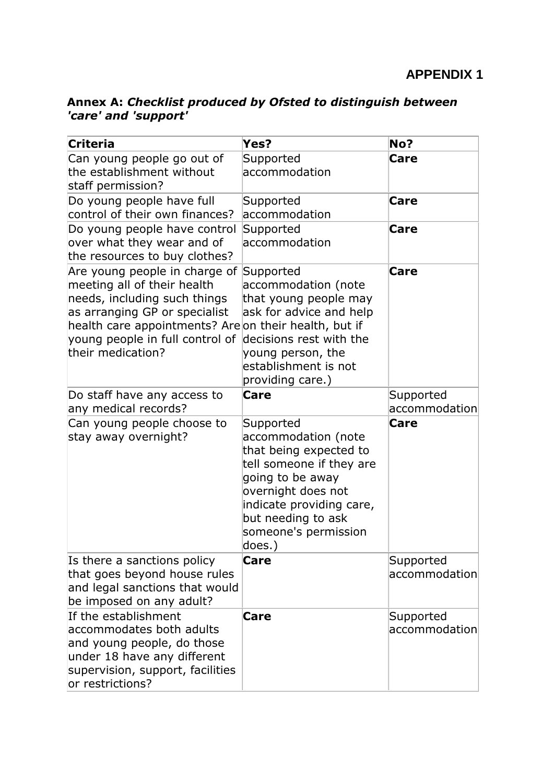| Annex A: Checklist produced by Ofsted to distinguish between |  |
|--------------------------------------------------------------|--|
| 'care' and 'support'                                         |  |

| Criteria                                                                                                                                                                                                                                       | Yes?                                                                                                                                                                                                                 | No?                        |
|------------------------------------------------------------------------------------------------------------------------------------------------------------------------------------------------------------------------------------------------|----------------------------------------------------------------------------------------------------------------------------------------------------------------------------------------------------------------------|----------------------------|
| Can young people go out of<br>the establishment without<br>staff permission?                                                                                                                                                                   | Supported<br>accommodation                                                                                                                                                                                           | <b>Care</b>                |
| Do young people have full<br>control of their own finances?                                                                                                                                                                                    | Supported<br>accommodation                                                                                                                                                                                           | <b>Care</b>                |
| Do young people have control<br>over what they wear and of<br>the resources to buy clothes?                                                                                                                                                    | Supported<br>accommodation                                                                                                                                                                                           | <b>Care</b>                |
| Are young people in charge of<br>meeting all of their health<br>needs, including such things<br>as arranging GP or specialist<br>health care appointments? Are on their health, but if<br>young people in full control of<br>their medication? | Supported<br>accommodation (note<br>that young people may<br>ask for advice and help<br>decisions rest with the<br>young person, the<br>establishment is not<br>providing care.)                                     | Care                       |
| Do staff have any access to<br>any medical records?                                                                                                                                                                                            | Care                                                                                                                                                                                                                 | Supported<br>accommodation |
| Can young people choose to<br>stay away overnight?                                                                                                                                                                                             | Supported<br>accommodation (note<br>that being expected to<br>tell someone if they are<br>going to be away<br>overnight does not<br>indicate providing care,<br>but needing to ask<br>someone's permission<br>does.) | Care                       |
| Is there a sanctions policy<br>that goes beyond house rules<br>and legal sanctions that would<br>be imposed on any adult?                                                                                                                      | Care                                                                                                                                                                                                                 | Supported<br>accommodation |
| If the establishment<br>accommodates both adults<br>and young people, do those<br>under 18 have any different<br>supervision, support, facilities<br>or restrictions?                                                                          | Care                                                                                                                                                                                                                 | Supported<br>accommodation |